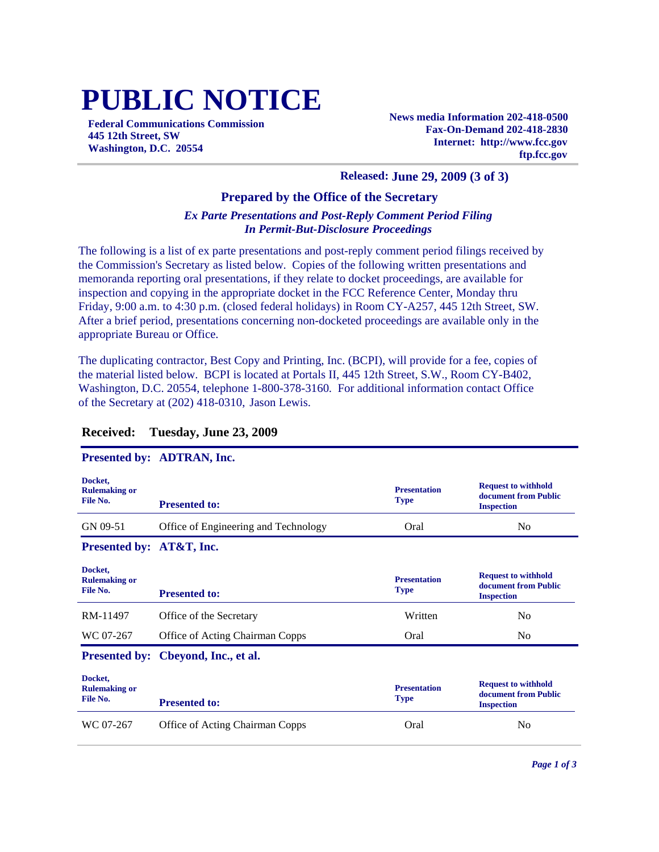# **PUBLIC NOTICE**

**Federal Communications Commission 445 12th Street, SW Washington, D.C. 20554**

**News media Information 202-418-0500 Fax-On-Demand 202-418-2830 Internet: http://www.fcc.gov ftp.fcc.gov**

#### **Released: June 29, 2009 (3 of 3)**

#### **Prepared by the Office of the Secretary**

#### *Ex Parte Presentations and Post-Reply Comment Period Filing In Permit-But-Disclosure Proceedings*

The following is a list of ex parte presentations and post-reply comment period filings received by the Commission's Secretary as listed below. Copies of the following written presentations and memoranda reporting oral presentations, if they relate to docket proceedings, are available for inspection and copying in the appropriate docket in the FCC Reference Center, Monday thru Friday, 9:00 a.m. to 4:30 p.m. (closed federal holidays) in Room CY-A257, 445 12th Street, SW. After a brief period, presentations concerning non-docketed proceedings are available only in the appropriate Bureau or Office.

The duplicating contractor, Best Copy and Printing, Inc. (BCPI), will provide for a fee, copies of the material listed below. BCPI is located at Portals II, 445 12th Street, S.W., Room CY-B402, Washington, D.C. 20554, telephone 1-800-378-3160. For additional information contact Office of the Secretary at (202) 418-0310, Jason Lewis.

|                                             | Presented by: ADTRAN, Inc.             |                                    |                                                                         |
|---------------------------------------------|----------------------------------------|------------------------------------|-------------------------------------------------------------------------|
| Docket,<br><b>Rulemaking or</b><br>File No. | <b>Presented to:</b>                   | <b>Presentation</b><br><b>Type</b> | <b>Request to withhold</b><br>document from Public<br><b>Inspection</b> |
| GN 09-51                                    | Office of Engineering and Technology   | Oral                               | N <sub>0</sub>                                                          |
| Presented by: AT&T, Inc.                    |                                        |                                    |                                                                         |
| Docket,<br><b>Rulemaking or</b><br>File No. | <b>Presented to:</b>                   | <b>Presentation</b><br><b>Type</b> | <b>Request to withhold</b><br>document from Public<br><b>Inspection</b> |
| RM-11497                                    | Office of the Secretary                | Written                            | N <sub>0</sub>                                                          |
| WC 07-267                                   | <b>Office of Acting Chairman Copps</b> | Oral                               | N <sub>0</sub>                                                          |
|                                             | Presented by: Cbeyond, Inc., et al.    |                                    |                                                                         |
| Docket,<br><b>Rulemaking or</b><br>File No. | <b>Presented to:</b>                   | <b>Presentation</b><br><b>Type</b> | <b>Request to withhold</b><br>document from Public<br><b>Inspection</b> |
| WC 07-267                                   | <b>Office of Acting Chairman Copps</b> | Oral                               | N <sub>0</sub>                                                          |

#### **Received: Tuesday, June 23, 2009**

## **Presented by: ADTRAN, Inc.**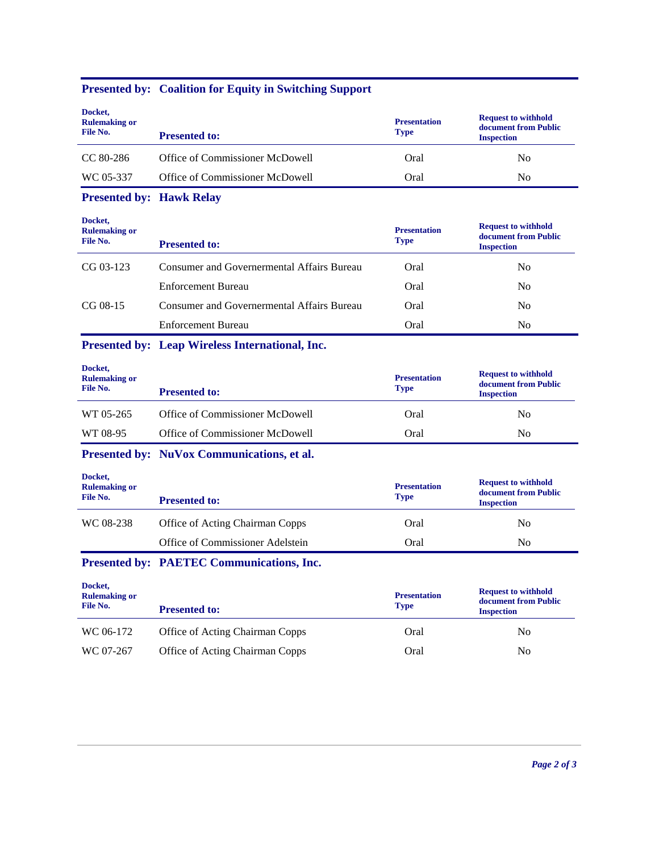## **Presented by: Coalition for Equity in Switching Support**

| Docket,<br><b>Rulemaking or</b><br>File No. | <b>Presented to:</b>                              | <b>Presentation</b><br><b>Type</b> | <b>Request to withhold</b><br>document from Public<br><b>Inspection</b> |
|---------------------------------------------|---------------------------------------------------|------------------------------------|-------------------------------------------------------------------------|
| CC 80-286                                   | Office of Commissioner McDowell                   | Oral                               | N <sub>0</sub>                                                          |
| WC 05-337                                   | Office of Commissioner McDowell                   | Oral                               | N <sub>o</sub>                                                          |
| <b>Presented by: Hawk Relay</b>             |                                                   |                                    |                                                                         |
| Docket,<br><b>Rulemaking or</b><br>File No. | <b>Presented to:</b>                              | <b>Presentation</b><br><b>Type</b> | <b>Request to withhold</b><br>document from Public<br><b>Inspection</b> |
|                                             |                                                   |                                    |                                                                         |
| $CG 03-123$                                 | Consumer and Governermental Affairs Bureau        | Oral                               | N <sub>0</sub>                                                          |
|                                             | <b>Enforcement Bureau</b>                         | Oral                               | No.                                                                     |
| $CG 08-15$                                  | <b>Consumer and Governermental Affairs Bureau</b> | Oral                               | No.                                                                     |
|                                             | Enforcement Bureau                                | Oral                               | N <sub>0</sub>                                                          |

| Docket,<br><b>Rulemaking or</b><br>File No. | <b>Presented to:</b>            | <b>Presentation</b><br><b>Type</b> | <b>Request to withhold</b><br>document from Public<br><b>Inspection</b> |
|---------------------------------------------|---------------------------------|------------------------------------|-------------------------------------------------------------------------|
| WT 05-265                                   | Office of Commissioner McDowell | Oral                               | No.                                                                     |
| WT 08-95                                    | Office of Commissioner McDowell | Oral                               | N <sub>0</sub>                                                          |

**Presented by: NuVox Communications, et al.**

| Docket,<br><b>Rulemaking or</b><br>File No. | <b>Presented to:</b>             | <b>Presentation</b><br><b>Type</b> | <b>Request to withhold</b><br>document from Public<br><b>Inspection</b> |
|---------------------------------------------|----------------------------------|------------------------------------|-------------------------------------------------------------------------|
| WC 08-238                                   | Office of Acting Chairman Copps  | Oral                               | N <sub>0</sub>                                                          |
|                                             | Office of Commissioner Adelstein | Oral                               | N <sub>0</sub>                                                          |

### **Presented by: PAETEC Communications, Inc.**

| Docket,<br><b>Rulemaking or</b><br>File No. | <b>Presented to:</b>            | <b>Presentation</b><br><b>Type</b> | <b>Request to withhold</b><br>document from Public<br><b>Inspection</b> |
|---------------------------------------------|---------------------------------|------------------------------------|-------------------------------------------------------------------------|
| WC 06-172                                   | Office of Acting Chairman Copps | Oral                               | No                                                                      |
| WC 07-267                                   | Office of Acting Chairman Copps | Oral                               | No                                                                      |